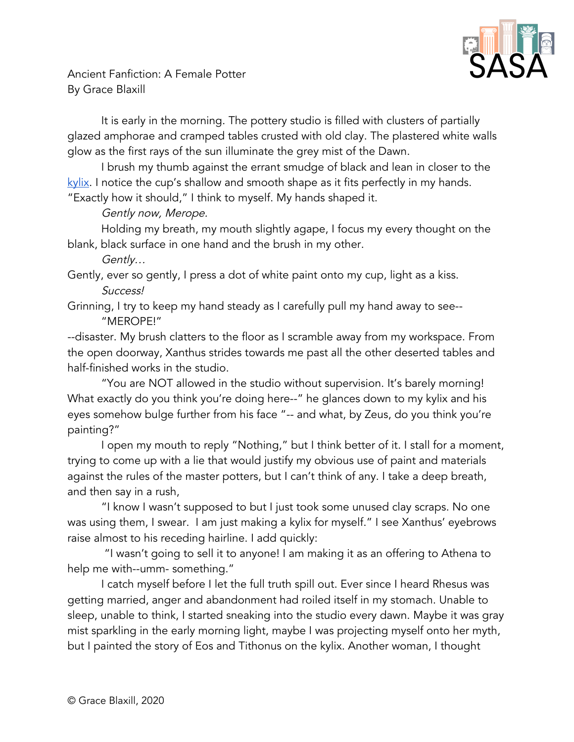

Ancient Fanfiction: A Female Potter By Grace Blaxill

It is early in the morning. The pottery studio is filled with clusters of partially glazed amphorae and cramped tables crusted with old clay. The plastered white walls glow as the first rays of the sun illuminate the grey mist of the Dawn.

I brush my thumb against the errant smudge of black and lean in closer to the [kylix](https://www.metmuseum.org/art/collection/search/255658). I notice the cup's shallow and smooth shape as it fits perfectly in my hands. "Exactly how it should," I think to myself. My hands shaped it.

Gently now, Merope.

Holding my breath, my mouth slightly agape, I focus my every thought on the blank, black surface in one hand and the brush in my other.

Gently…

Gently, ever so gently, I press a dot of white paint onto my cup, light as a kiss. Success!

Grinning, I try to keep my hand steady as I carefully pull my hand away to see-- "MEROPE!"

--disaster. My brush clatters to the floor as I scramble away from my workspace. From the open doorway, Xanthus strides towards me past all the other deserted tables and half-finished works in the studio.

"You are NOT allowed in the studio without supervision. It's barely morning! What exactly do you think you're doing here--" he glances down to my kylix and his eyes somehow bulge further from his face "-- and what, by Zeus, do you think you're painting?"

I open my mouth to reply "Nothing," but I think better of it. I stall for a moment, trying to come up with a lie that would justify my obvious use of paint and materials against the rules of the master potters, but I can't think of any. I take a deep breath, and then say in a rush,

"I know I wasn't supposed to but I just took some unused clay scraps. No one was using them, I swear. I am just making a kylix for myself." I see Xanthus' eyebrows raise almost to his receding hairline. I add quickly:

"I wasn't going to sell it to anyone! I am making it as an offering to Athena to help me with--umm- something."

I catch myself before I let the full truth spill out. Ever since I heard Rhesus was getting married, anger and abandonment had roiled itself in my stomach. Unable to sleep, unable to think, I started sneaking into the studio every dawn. Maybe it was gray mist sparkling in the early morning light, maybe I was projecting myself onto her myth, but I painted the story of Eos and Tithonus on the kylix. Another woman, I thought